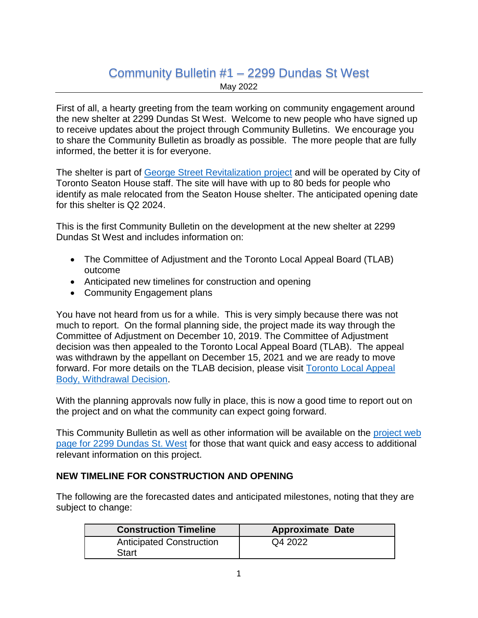## Community Bulletin #1 – 2299 Dundas St West

May 2022

First of all, a hearty greeting from the team working on community engagement around the new shelter at 2299 Dundas St West. Welcome to new people who have signed up to receive updates about the project through Community Bulletins. We encourage you to share the Community Bulletin as broadly as possible. The more people that are fully informed, the better it is for everyone.

The shelter is part of [George Street Revitalization](https://www.toronto.ca/city-government/accountability-operations-customer-service/long-term-vision-plans-and-strategies/george-street-revitalization/) project and will be operated by City of Toronto Seaton House staff. The site will have with up to 80 beds for people who identify as male relocated from the Seaton House shelter. The anticipated opening date for this shelter is Q2 2024.

This is the first Community Bulletin on the development at the new shelter at 2299 Dundas St West and includes information on:

- The Committee of Adjustment and the Toronto Local Appeal Board (TLAB) outcome
- Anticipated new timelines for construction and opening
- Community Engagement plans

You have not heard from us for a while. This is very simply because there was not much to report. On the formal planning side, the project made its way through the Committee of Adjustment on December 10, 2019. The Committee of Adjustment decision was then appealed to the Toronto Local Appeal Board (TLAB). The appeal was withdrawn by the appellant on December 15, 2021 and we are ready to move forward. For more details on the TLAB decision, please visit **Toronto Local Appeal** [Body, Withdrawal Decision.](https://www.toronto.ca/wp-content/uploads/2022/01/9633-TLAB-19-259662-S45-04-TLAB2299-Dundas-St-WWithdrawal-DecisionSMakuch.pdf)

With the planning approvals now fully in place, this is now a good time to report out on the project and on what the community can expect going forward.

This Community Bulletin as well as other information will be available on the [project web](https://www.toronto.ca/community-people/community-partners/emergency-shelter-operators/about-torontos-shelter-system/new-shelter-locations/shelter-replacement-expansion-projects/2299-dundas-st-w/)  page [for 2299 Dundas St.](https://www.toronto.ca/community-people/community-partners/emergency-shelter-operators/about-torontos-shelter-system/new-shelter-locations/shelter-replacement-expansion-projects/2299-dundas-st-w/) West for those that want quick and easy access to additional relevant information on this project.

## **NEW TIMELINE FOR CONSTRUCTION AND OPENING**

The following are the forecasted dates and anticipated milestones, noting that they are subject to change:

| <b>Construction Timeline</b>    | <b>Approximate Date</b> |
|---------------------------------|-------------------------|
| <b>Anticipated Construction</b> | Q4 2022                 |
| Start                           |                         |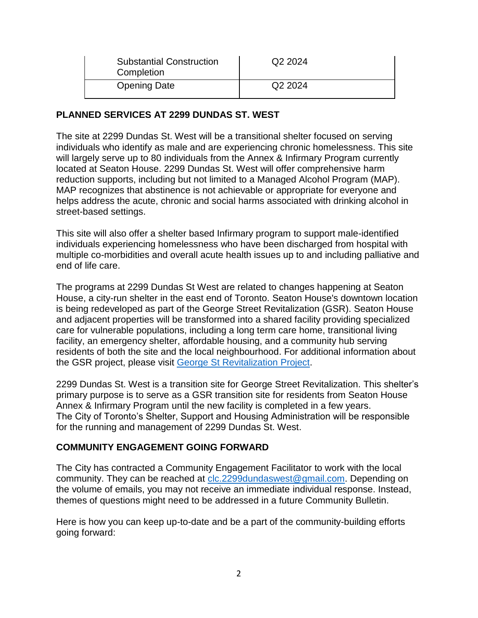| <b>Substantial Construction</b><br>Completion | Q <sub>2</sub> 2024 |
|-----------------------------------------------|---------------------|
| <b>Opening Date</b>                           | Q <sub>2</sub> 2024 |

## **PLANNED SERVICES AT 2299 DUNDAS ST. WEST**

The site at 2299 Dundas St. West will be a transitional shelter focused on serving individuals who identify as male and are experiencing chronic homelessness. This site will largely serve up to 80 individuals from the Annex & Infirmary Program currently located at Seaton House. 2299 Dundas St. West will offer comprehensive harm reduction supports, including but not limited to a Managed Alcohol Program (MAP). MAP recognizes that abstinence is not achievable or appropriate for everyone and helps address the acute, chronic and social harms associated with drinking alcohol in street-based settings.

This site will also offer a shelter based Infirmary program to support male-identified individuals experiencing homelessness who have been discharged from hospital with multiple co-morbidities and overall acute health issues up to and including palliative and end of life care.

The programs at 2299 Dundas St West are related to changes happening at Seaton House, a city-run shelter in the east end of Toronto. Seaton House's downtown location is being redeveloped as part of the George Street Revitalization (GSR). Seaton House and adjacent properties will be transformed into a shared facility providing specialized care for vulnerable populations, including a long term care home, transitional living facility, an emergency shelter, affordable housing, and a community hub serving residents of both the site and the local neighbourhood. For additional information about the GSR project, please visit [George St Revitalization Project.](https://www.toronto.ca/city-government/accountability-operations-customer-service/long-term-vision-plans-and-strategies/george-street-revitalization/)

2299 Dundas St. West is a transition site for George Street Revitalization. This shelter's primary purpose is to serve as a GSR transition site for residents from Seaton House Annex & Infirmary Program until the new facility is completed in a few years. The City of Toronto's Shelter, Support and Housing Administration will be responsible for the running and management of 2299 Dundas St. West.

## **COMMUNITY ENGAGEMENT GOING FORWARD**

The City has contracted a Community Engagement Facilitator to work with the local community. They can be reached at [clc.2299dundaswest@gmail.com.](mailto:clc.2299dundaswest@gmail.com) Depending on the volume of emails, you may not receive an immediate individual response. Instead, themes of questions might need to be addressed in a future Community Bulletin.

Here is how you can keep up-to-date and be a part of the community-building efforts going forward: